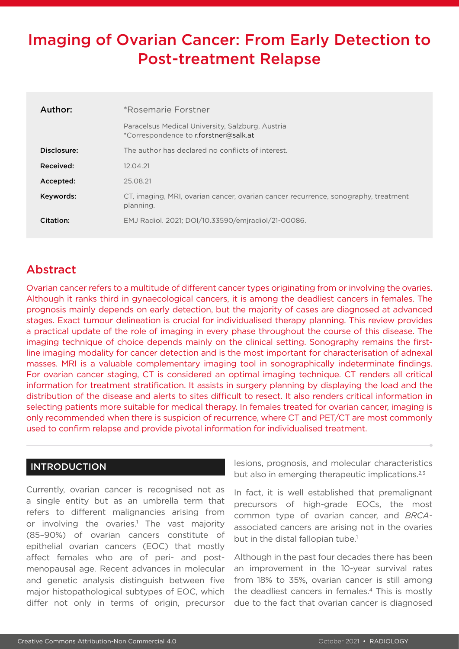# Imaging of Ovarian Cancer: From Early Detection to Post-treatment Relapse

| Author:     | *Rosemarie Forstner                                                                             |  |
|-------------|-------------------------------------------------------------------------------------------------|--|
|             | Paracelsus Medical University, Salzburg, Austria<br>*Correspondence to r.forstner@salk.at       |  |
| Disclosure: | The author has declared no conflicts of interest.                                               |  |
| Received:   | 12.04.21                                                                                        |  |
| Accepted:   | 25.08.21                                                                                        |  |
| Keywords:   | CT, imaging, MRI, ovarian cancer, ovarian cancer recurrence, sonography, treatment<br>planning. |  |
| Citation:   | EMJ Radiol. 2021; DOI/10.33590/emjradiol/21-00086.                                              |  |

# Abstract

Ovarian cancer refers to a multitude of different cancer types originating from or involving the ovaries. Although it ranks third in gynaecological cancers, it is among the deadliest cancers in females. The prognosis mainly depends on early detection, but the majority of cases are diagnosed at advanced stages. Exact tumour delineation is crucial for individualised therapy planning. This review provides a practical update of the role of imaging in every phase throughout the course of this disease. The imaging technique of choice depends mainly on the clinical setting. Sonography remains the firstline imaging modality for cancer detection and is the most important for characterisation of adnexal masses. MRI is a valuable complementary imaging tool in sonographically indeterminate findings. For ovarian cancer staging, CT is considered an optimal imaging technique. CT renders all critical information for treatment stratification. It assists in surgery planning by displaying the load and the distribution of the disease and alerts to sites difficult to resect. It also renders critical information in selecting patients more suitable for medical therapy. In females treated for ovarian cancer, imaging is only recommended when there is suspicion of recurrence, where CT and PET/CT are most commonly used to confirm relapse and provide pivotal information for individualised treatment.

## INTRODUCTION

Currently, ovarian cancer is recognised not as a single entity but as an umbrella term that refers to different malignancies arising from or involving the ovaries.<sup>1</sup> The vast majority (85–90%) of ovarian cancers constitute of epithelial ovarian cancers (EOC) that mostly affect females who are of peri- and postmenopausal age. Recent advances in molecular and genetic analysis distinguish between five major histopathological subtypes of EOC, which differ not only in terms of origin, precursor

lesions, prognosis, and molecular characteristics but also in emerging therapeutic implications.<sup>2,3</sup>

In fact, it is well established that premalignant precursors of high-grade EOCs, the most common type of ovarian cancer, and *BRCA*associated cancers are arising not in the ovaries but in the distal fallopian tube.<sup>1</sup>

Although in the past four decades there has been an improvement in the 10-year survival rates from 18% to 35%, ovarian cancer is still among the deadliest cancers in females.4 This is mostly due to the fact that ovarian cancer is diagnosed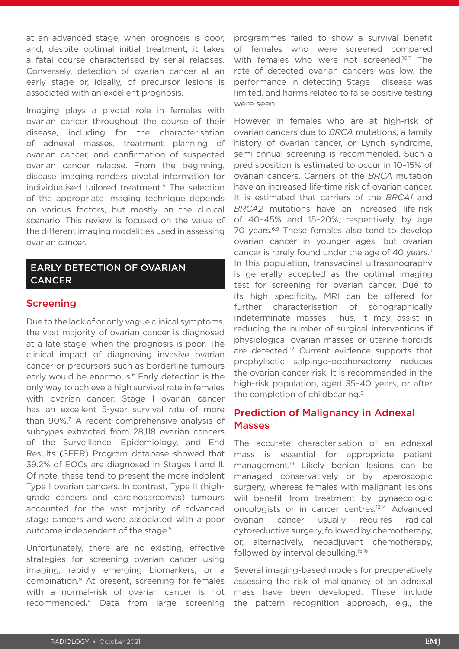at an advanced stage, when prognosis is poor, and, despite optimal initial treatment, it takes a fatal course characterised by serial relapses. Conversely, detection of ovarian cancer at an early stage or, ideally, of precursor lesions is associated with an excellent prognosis.

Imaging plays a pivotal role in females with ovarian cancer throughout the course of their disease, including for the characterisation of adnexal masses, treatment planning of ovarian cancer, and confirmation of suspected ovarian cancer relapse. From the beginning, disease imaging renders pivotal information for individualised tailored treatment.5 The selection of the appropriate imaging technique depends on various factors, but mostly on the clinical scenario. This review is focused on the value of the different imaging modalities used in assessing ovarian cancer.

# EARLY DETECTION OF OVARIAN **CANCER**

### Screening

Due to the lack of or only vague clinical symptoms, the vast majority of ovarian cancer is diagnosed at a late stage, when the prognosis is poor. The clinical impact of diagnosing invasive ovarian cancer or precursors such as borderline tumours early would be enormous.<sup>6</sup> Early detection is the only way to achieve a high survival rate in females with ovarian cancer. Stage I ovarian cancer has an excellent 5-year survival rate of more than 90%.7 A recent comprehensive analysis of subtypes extracted from 28,118 ovarian cancers of the Surveillance, Epidemiology, and End Results (SEER) Program database showed that 39.2% of EOCs are diagnosed in Stages I and II. Of note, these tend to present the more indolent Type I ovarian cancers. In contrast, Type II (highgrade cancers and carcinosarcomas) tumours accounted for the vast majority of advanced stage cancers and were associated with a poor outcome independent of the stage.<sup>8</sup>

Unfortunately, there are no existing, effective strategies for screening ovarian cancer using imaging, rapidly emerging biomarkers, or a combination.9 At present, screening for females with a normal-risk of ovarian cancer is not recommended**.** <sup>9</sup> Data from large screening programmes failed to show a survival benefit of females who were screened compared with females who were not screened.<sup>10,11</sup> The rate of detected ovarian cancers was low, the performance in detecting Stage I disease was limited, and harms related to false positive testing were seen.

However, in females who are at high-risk of ovarian cancers due to *BRCA* mutations, a family history of ovarian cancer, or Lynch syndrome, semi-annual screening is recommended. Such a predisposition is estimated to occur in 10–15% of ovarian cancers. Carriers of the *BRCA* mutation have an increased life-time risk of ovarian cancer. It is estimated that carriers of the *BRCA1* and *BRCA2* mutations have an increased life-risk of 40–45% and 15–20%, respectively, by age 70 years.<sup>6,9</sup> These females also tend to develop ovarian cancer in younger ages, but ovarian cancer is rarely found under the age of 40 years.<sup>9</sup> In this population, transvaginal ultrasonography is generally accepted as the optimal imaging test for screening for ovarian cancer. Due to its high specificity, MRI can be offered for further characterisation of sonographically indeterminate masses. Thus, it may assist in reducing the number of surgical interventions if physiological ovarian masses or uterine fibroids are detected.<sup>12</sup> Current evidence supports that prophylactic salpingo-oophorectomy reduces the ovarian cancer risk. It is recommended in the high-risk population, aged 35–40 years, or after the completion of childbearing.9

# Prediction of Malignancy in Adnexal Masses

The accurate characterisation of an adnexal mass is essential for appropriate patient management.<sup>13</sup> Likely benign lesions can be managed conservatively or by laparoscopic surgery, whereas females with malignant lesions will benefit from treatment by gynaecologic oncologists or in cancer centres*.* 12,14 Advanced ovarian cancer usually requires radical cytoreductive surgery, followed by chemotherapy, or, alternatively, neoadjuvant chemotherapy, followed by interval debulking.<sup>15,16</sup>

Several imaging-based models for preoperatively assessing the risk of malignancy of an adnexal mass have been developed. These include the pattern recognition approach, e.g., the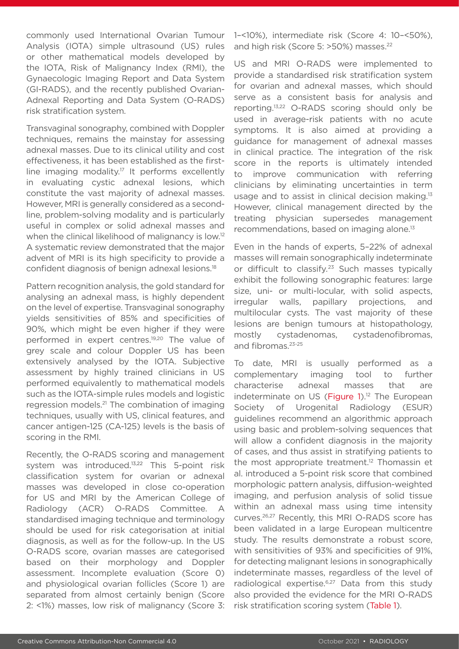commonly used International Ovarian Tumour Analysis (IOTA) simple ultrasound (US) rules or other mathematical models developed by the IOTA, Risk of Malignancy Index (RMI), the Gynaecologic Imaging Report and Data System (GI-RADS), and the recently published Ovarian-Adnexal Reporting and Data System (O-RADS) risk stratification system.

Transvaginal sonography, combined with Doppler techniques, remains the mainstay for assessing adnexal masses. Due to its clinical utility and cost effectiveness, it has been established as the firstline imaging modality.<sup>17</sup> It performs excellently in evaluating cystic adnexal lesions, which constitute the vast majority of adnexal masses. However, MRI is generally considered as a secondline, problem-solving modality and is particularly useful in complex or solid adnexal masses and when the clinical likelihood of malignancy is low.<sup>12</sup> A systematic review demonstrated that the major advent of MRI is its high specificity to provide a confident diagnosis of benign adnexal lesions.18

Pattern recognition analysis, the gold standard for analysing an adnexal mass, is highly dependent on the level of expertise. Transvaginal sonography yields sensitivities of 85% and specificities of 90%, which might be even higher if they were performed in expert centres.<sup>19,20</sup> The value of grey scale and colour Doppler US has been extensively analysed by the IOTA. Subjective assessment by highly trained clinicians in US performed equivalently to mathematical models such as the IOTA-simple rules models and logistic regression models.21 The combination of imaging techniques, usually with US, clinical features, and cancer antigen-125 (CA-125) levels is the basis of scoring in the RMI.

Recently, the O-RADS scoring and management system was introduced.<sup>13,22</sup> This 5-point risk classification system for ovarian or adnexal masses was developed in close co-operation for US and MRI by the American College of Radiology (ACR) O-RADS Committee. A standardised imaging technique and terminology should be used for risk categorisation at initial diagnosis, as well as for the follow-up. In the US O-RADS score, ovarian masses are categorised based on their morphology and Doppler assessment. Incomplete evaluation (Score 0) and physiological ovarian follicles (Score 1) are separated from almost certainly benign (Score 2: <1%) masses, low risk of malignancy (Score 3:

1–<10%), intermediate risk (Score 4: 10–<50%), and high risk (Score 5: >50%) masses.<sup>22</sup>

US and MRI O-RADS were implemented to provide a standardised risk stratification system for ovarian and adnexal masses, which should serve as a consistent basis for analysis and reporting.13,22 O-RADS scoring should only be used in average-risk patients with no acute symptoms. It is also aimed at providing a guidance for management of adnexal masses in clinical practice. The integration of the risk score in the reports is ultimately intended to improve communication with referring clinicians by eliminating uncertainties in term usage and to assist in clinical decision making.<sup>13</sup> However, clinical management directed by the treating physician supersedes management recommendations, based on imaging alone.<sup>13</sup>

Even in the hands of experts, 5–22% of adnexal masses will remain sonographically indeterminate or difficult to classify*.* 23 Such masses typically exhibit the following sonographic features: large size, uni- or multi-locular, with solid aspects, irregular walls, papillary projections, and multilocular cysts. The vast majority of these lesions are benign tumours at histopathology, mostly cystadenomas, cystadenofibromas, and fibromas.23-25

To date, MRI is usually performed as a complementary imaging tool to further characterise adnexal masses that are indeterminate on US (Figure 1).<sup>12</sup> The European Society of Urogenital Radiology (ESUR) guidelines recommend an algorithmic approach using basic and problem-solving sequences that will allow a confident diagnosis in the majority of cases, and thus assist in stratifying patients to the most appropriate treatment.<sup>12</sup> Thomassin et al. introduced a 5-point risk score that combined morphologic pattern analysis, diffusion-weighted imaging, and perfusion analysis of solid tissue within an adnexal mass using time intensity curves.26,27 Recently, this MRI O-RADS score has been validated in a large European multicentre study. The results demonstrate a robust score, with sensitivities of 93% and specificities of 91%, for detecting malignant lesions in sonographically indeterminate masses, regardless of the level of radiological expertise.<sup>6,27</sup> Data from this study also provided the evidence for the MRI O-RADS risk stratification scoring system (Table 1).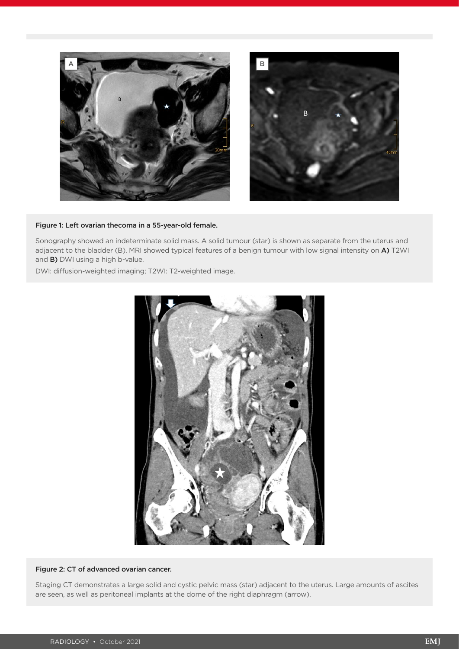

#### Figure 1: Left ovarian thecoma in a 55-year-old female.

Sonography showed an indeterminate solid mass. A solid tumour (star) is shown as separate from the uterus and adjacent to the bladder (B). MRI showed typical features of a benign tumour with low signal intensity on A) T2WI and B) DWI using a high b-value.

DWI: diffusion-weighted imaging; T2WI: T2-weighted image.



#### Figure 2: CT of advanced ovarian cancer.

Staging CT demonstrates a large solid and cystic pelvic mass (star) adjacent to the uterus. Large amounts of ascites are seen, as well as peritoneal implants at the dome of the right diaphragm (arrow).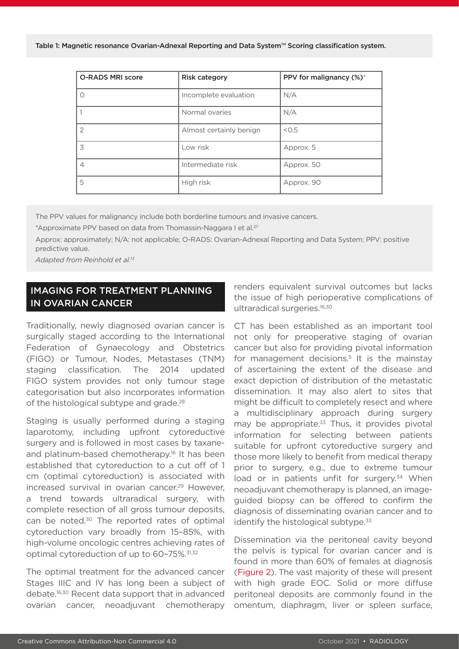Table 1: Magnetic resonance Ovarian-Adnexal Reporting and Data System™ Scoring classification system.

| <b>O-RADS MRI score</b> | <b>Risk category</b>    | PPV for malignancy (%)* |
|-------------------------|-------------------------|-------------------------|
| $\bigcap$               | Incomplete evaluation   | N/A                     |
|                         | Normal ovaries          | N/A                     |
| $\mathcal{P}$           | Almost certainly benign | < 0.5                   |
| 3                       | Low risk                | Approx. 5               |
| 4                       | Intermediate risk       | Approx. 50              |
| 5                       | High risk               | Approx. 90              |

The PPV values for malignancy include both borderline tumours and invasive cancers.

\*Approximate PPV based on data from Thomassin-Naggara I et al.<sup>27</sup>

Approx: approximately; N/A: not applicable; O-RADS: Ovarian-Adnexal Reporting and Data System; PPV: positive predictive value.

*Adapted from Reinhold et al.13*

# IMAGING FOR TREATMENT PLANNING IN OVARIAN CANCER

Traditionally, newly diagnosed ovarian cancer is surgically staged according to the International Federation of Gynaecology and Obstetrics (FIGO) or Tumour, Nodes, Metastases (TNM) staging classification. The 2014 updated FIGO system provides not only tumour stage categorisation but also incorporates information of the histological subtype and grade.<sup>28</sup>

Staging is usually performed during a staging laparotomy, including upfront cytoreductive surgery and is followed in most cases by taxaneand platinum-based chemotherapy.<sup>16</sup> It has been established that cytoreduction to a cut off of 1 cm (optimal cytoreduction) is associated with increased survival in ovarian cancer.<sup>29</sup> However, a trend towards ultraradical surgery, with complete resection of all gross tumour deposits, can be noted.<sup>30</sup> The reported rates of optimal cytoreduction vary broadly from 15–85%, with high-volume oncologic centres achieving rates of optimal cytoreduction of up to 60-75%.<sup>31,32</sup>

The optimal treatment for the advanced cancer Stages IIIC and IV has long been a subject of debate.16,30 Recent data support that in advanced ovarian cancer, neoadjuvant chemotherapy

renders equivalent survival outcomes but lacks the issue of high perioperative complications of ultraradical surgeries.<sup>16,30</sup>

CT has been established as an important tool not only for preoperative staging of ovarian cancer but also for providing pivotal information for management decisions.<sup>5</sup> It is the mainstay of ascertaining the extent of the disease and exact depiction of distribution of the metastatic dissemination. It may also alert to sites that might be difficult to completely resect and where a multidisciplinary approach during surgery may be appropriate.<sup>33</sup> Thus, it provides pivotal information for selecting between patients suitable for upfront cytoreductive surgery and those more likely to benefit from medical therapy prior to surgery, e.g., due to extreme tumour load or in patients unfit for surgery.<sup>34</sup> When neoadjuvant chemotherapy is planned, an imageguided biopsy can be offered to confirm the diagnosis of disseminating ovarian cancer and to identify the histological subtype. $33$ 

Dissemination via the peritoneal cavity beyond the pelvis is typical for ovarian cancer and is found in more than 60% of females at diagnosis (Figure 2). The vast majority of these will present with high grade EOC. Solid or more diffuse peritoneal deposits are commonly found in the omentum, diaphragm, liver or spleen surface,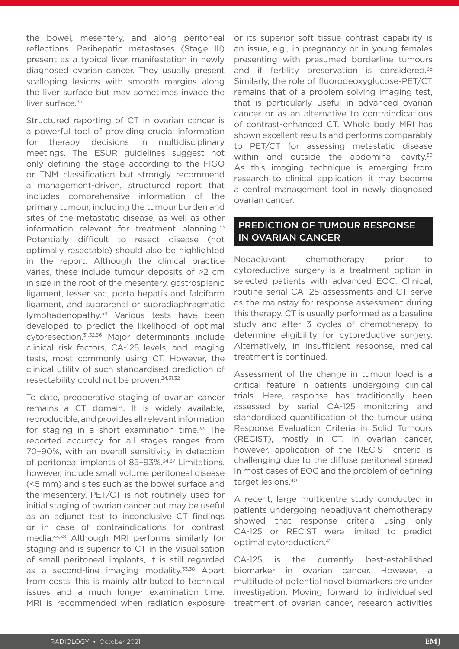the bowel, mesentery, and along peritoneal reflections. Perihepatic metastases (Stage III) present as a typical liver manifestation in newly diagnosed ovarian cancer. They usually present scalloping lesions with smooth margins along the liver surface but may sometimes invade the liver surface.<sup>35</sup>

Structured reporting of CT in ovarian cancer is a powerful tool of providing crucial information for therapy decisions in multidisciplinary meetings. The ESUR guidelines suggest not only defining the stage according to the FIGO or TNM classification but strongly recommend a management-driven, structured report that includes comprehensive information of the primary tumour, including the tumour burden and sites of the metastatic disease, as well as other information relevant for treatment planning.<sup>33</sup> Potentially difficult to resect disease (not optimally resectable) should also be highlighted in the report. Although the clinical practice varies, these include tumour deposits of >2 cm in size in the root of the mesentery, gastrosplenic ligament, lesser sac, porta hepatis and falciform ligament, and suprarenal or supradiaphragmatic lymphadenopathy.<sup>34</sup> Various tests have been developed to predict the likelihood of optimal cytoresection.31,32,36 Major determinants include clinical risk factors, CA-125 levels, and imaging tests, most commonly using CT. However, the clinical utility of such standardised prediction of resectability could not be proven.<sup>24,31,32</sup>

To date, preoperative staging of ovarian cancer remains a CT domain. It is widely available, reproducible, and provides all relevant information for staging in a short examination time. $33$  The reported accuracy for all stages ranges from 70–90%, with an overall sensitivity in detection of peritoneal implants of 85-93%.<sup>34,37</sup> Limitations, however, include small volume peritoneal disease (<5 mm) and sites such as the bowel surface and the mesentery. PET/CT is not routinely used for initial staging of ovarian cancer but may be useful as an adjunct test to inconclusive CT findings or in case of contraindications for contrast media.33,38 Although MRI performs similarly for staging and is superior to CT in the visualisation of small peritoneal implants, it is still regarded as a second-line imaging modality.<sup>33,38</sup> Apart from costs, this is mainly attributed to technical issues and a much longer examination time. MRI is recommended when radiation exposure

or its superior soft tissue contrast capability is an issue, e.g., in pregnancy or in young females presenting with presumed borderline tumours and if fertility preservation is considered.<sup>38</sup> Similarly, the role of fluorodeoxyglucose-PET/CT remains that of a problem solving imaging test, that is particularly useful in advanced ovarian cancer or as an alternative to contraindications of contrast-enhanced CT. Whole body MRI has shown excellent results and performs comparably to PET/CT for assessing metastatic disease within and outside the abdominal cavity.<sup>39</sup> As this imaging technique is emerging from research to clinical application, it may become a central management tool in newly diagnosed ovarian cancer.

### PREDICTION OF TUMOUR RESPONSE IN OVARIAN CANCER

Neoadiuvant chemotherapy prior to cytoreductive surgery is a treatment option in selected patients with advanced EOC. Clinical, routine serial CA-125 assessments and CT serve as the mainstay for response assessment during this therapy. CT is usually performed as a baseline study and after 3 cycles of chemotherapy to determine eligibility for cytoreductive surgery. Alternatively, in insufficient response, medical treatment is continued.

Assessment of the change in tumour load is a critical feature in patients undergoing clinical trials. Here, response has traditionally been assessed by serial CA-125 monitoring and standardised quantification of the tumour using Response Evaluation Criteria in Solid Tumours (RECIST), mostly in CT. In ovarian cancer, however, application of the RECIST criteria is challenging due to the diffuse peritoneal spread in most cases of EOC and the problem of defining target lesions.40

A recent, large multicentre study conducted in patients undergoing neoadjuvant chemotherapy showed that response criteria using only CA-125 or RECIST were limited to predict optimal cytoreduction.41

CA-125 is the currently best-established biomarker in ovarian cancer. However, multitude of potential novel biomarkers are under investigation. Moving forward to individualised treatment of ovarian cancer, research activities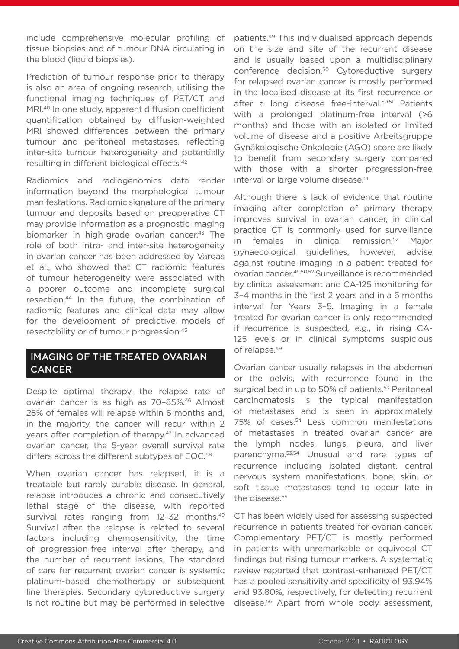include comprehensive molecular profiling of tissue biopsies and of tumour DNA circulating in the blood (liquid biopsies).

Prediction of tumour response prior to therapy is also an area of ongoing research, utilising the functional imaging techniques of PET/CT and MRI.<sup>40</sup> In one study, apparent diffusion coefficient quantification obtained by diffusion-weighted MRI showed differences between the primary tumour and peritoneal metastases, reflecting inter-site tumour heterogeneity and potentially resulting in different biological effects.42

Radiomics and radiogenomics data render information beyond the morphological tumour manifestations. Radiomic signature of the primary tumour and deposits based on preoperative CT may provide information as a prognostic imaging biomarker in high-grade ovarian cancer.<sup>43</sup> The role of both intra- and inter-site heterogeneity in ovarian cancer has been addressed by Vargas et al., who showed that CT radiomic features of tumour heterogeneity were associated with a poorer outcome and incomplete surgical resection.44 In the future, the combination of radiomic features and clinical data may allow for the development of predictive models of resectability or of tumour progression.45

## IMAGING OF THE TREATED OVARIAN **CANCER**

Despite optimal therapy, the relapse rate of ovarian cancer is as high as 70–85%. 46 Almost 25% of females will relapse within 6 months and, in the majority, the cancer will recur within 2 years after completion of therapy.<sup>47</sup> In advanced ovarian cancer, the 5-year overall survival rate differs across the different subtypes of EOC.<sup>48</sup>

When ovarian cancer has relapsed, it is a treatable but rarely curable disease. In general, relapse introduces a chronic and consecutively lethal stage of the disease, with reported survival rates ranging from 12-32 months.<sup>49</sup> Survival after the relapse is related to several factors including chemosensitivity, the time of progression-free interval after therapy, and the number of recurrent lesions. The standard of care for recurrent ovarian cancer is systemic platinum-based chemotherapy or subsequent line therapies. Secondary cytoreductive surgery is not routine but may be performed in selective

patients.49 This individualised approach depends on the size and site of the recurrent disease and is usually based upon a multidisciplinary conference decision.50 Cytoreductive surgery for relapsed ovarian cancer is mostly performed in the localised disease at its first recurrence or after a long disease free-interval.<sup>50,51</sup> Patients with a prolonged platinum-free interval (>6 months) and those with an isolated or limited volume of disease and a positive Arbeitsgruppe Gynäkologische Onkologie (AGO) score are likely to benefit from secondary surgery compared with those with a shorter progression-free interval or large volume disease.<sup>51</sup>

Although there is lack of evidence that routine imaging after completion of primary therapy improves survival in ovarian cancer, in clinical practice CT is commonly used for surveillance in females in clinical remission.52 Major gynaecological guidelines, however, advise against routine imaging in a patient treated for ovarian cancer.49,50,52 Surveillance is recommended by clinical assessment and CA-125 monitoring for 3–4 months in the first 2 years and in a 6 months interval for Years 3–5. Imaging in a female treated for ovarian cancer is only recommended if recurrence is suspected, e.g., in rising CA-125 levels or in clinical symptoms suspicious of relapse.49

Ovarian cancer usually relapses in the abdomen or the pelvis, with recurrence found in the surgical bed in up to 50% of patients.<sup>53</sup> Peritoneal carcinomatosis is the typical manifestation of metastases and is seen in approximately 75% of cases.<sup>54</sup> Less common manifestations of metastases in treated ovarian cancer are the lymph nodes, lungs, pleura, and liver parenchyma.53,54 Unusual and rare types of recurrence including isolated distant, central nervous system manifestations, bone, skin, or soft tissue metastases tend to occur late in the disease.<sup>55</sup>

CT has been widely used for assessing suspected recurrence in patients treated for ovarian cancer. Complementary PET/CT is mostly performed in patients with unremarkable or equivocal CT findings but rising tumour markers. A systematic review reported that contrast-enhanced PET/CT has a pooled sensitivity and specificity of 93.94% and 93.80%, respectively, for detecting recurrent disease.56 Apart from whole body assessment,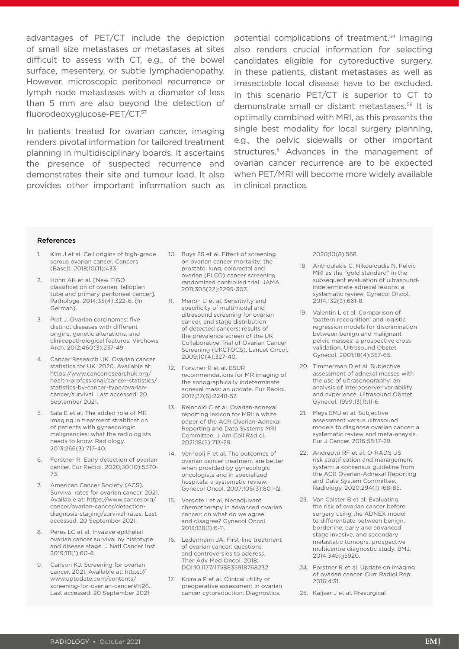advantages of PET/CT include the depiction of small size metastases or metastases at sites difficult to assess with CT, e.g., of the bowel surface, mesentery, or subtle lymphadenopathy. However, microscopic peritoneal recurrence or lymph node metastases with a diameter of less than 5 mm are also beyond the detection of fluorodeoxyglucose-PET/CT.57

In patients treated for ovarian cancer, imaging renders pivotal information for tailored treatment planning in multidisciplinary boards. It ascertains the presence of suspected recurrence and demonstrates their site and tumour load. It also provides other important information such as potential complications of treatment.54 Imaging also renders crucial information for selecting candidates eligible for cytoreductive surgery. In these patients, distant metastases as well as irresectable local disease have to be excluded. In this scenario PET/CT is superior to CT to demonstrate small or distant metastases.58 It is optimally combined with MRI, as this presents the single best modality for local surgery planning, e.g., the pelvic sidewalls or other important structures.<sup>5</sup> Advances in the management of ovarian cancer recurrence are to be expected when PET/MRI will become more widely available in clinical practice.

#### References

- 1. Kim J et al. Cell origins of high-grade serous ovarian cancer. Cancers (Basel). 2018;10(11):433.
- 2. Höhn AK et al. [New FIGO classification of ovarian, fallopian tube and primary peritoneal cancer]. Pathologe. 2014;35(4):322-6. (In German).
- 3. Prat J. Ovarian carcinomas: five distinct diseases with different origins, genetic alterations, and clinicopathological features. Virchows Arch. 2012;460(3):237-49.
- 4. Cancer Research UK. Ovarian cancer statistics for UK. 2020. Available at: https://www.cancerresearchuk.org/ health-professional/cancer-statistics/ statistics-by-cancer-type/ovariancancer/survival. Last accessed: 20 September 2021.
- 5. Sala E et al. The added role of MR imaging in treatment stratification of patients with gynaecologic malignancies: what the radiologists needs to know. Radiology. 2013;266(3):717-40.
- 6. Forstner R. Early detection of ovarian cancer. Eur Radiol. 2020;30(10):5370- 73.
- 7. American Cancer Society (ACS). Survival rates for ovarian cancer. 2021. Available at: https://www.cancer.org/ cancer/ovarian-cancer/detectiondiagnosis-staging/survival-rates. Last accessed: 20 September 2021.
- 8. Peres LC et al. Invasive epithelial ovarian cancer survival by histotype and disease stage. J Natl Cancer Inst. 2019;111(1):60-8.
- 9. Carlson KJ. Screening for ovarian cancer. 2021. Available at: https:// www.uptodate.com/contents/ screening-for-ovarian-cancer#H26.. Last accessed: 20 September 2021.
- 10. Buys SS et al. Effect of screening on ovarian cancer mortality: the prostate, lung, colorectal and ovarian (PLCO) cancer screening randomized controlled trial. JAMA. 2011;305(22):2295-303.
- 11. Menon U et al. Sensitivity and specificity of multimodal and ultrasound screening for ovarian cancer, and stage distribution of detected cancers: results of the prevalence screen of the UK Collaborative Trial of Ovarian Cancer Screening (UKCTOCS). Lancet Oncol. 2009;10(4):327-40.
- 12. Forstner R et al. ESUR recommendations for MR imaging of the sonographically indeterminate adnexal mass: an update. Eur Radiol. 2017;27(6):2248-57.
- 13. Reinhold C et al. Ovarian-adnexal reporting lexicon for MRI: a white paper of the ACR Ovarian-Adnexal Reporting and Data Systems MRI Committee. J Am Coll Radiol. 2021;18(5);713-29.
- 14. Vernooij F et al. The outcomes of ovarian cancer treatment are better when provided by gynecologic oncologists and in specialized hospitals: a systematic review. Gynecol Oncol. 2007;105(3):801-12.
- 15. Vergote I et al. Neoadjuvant chemotherapy in advanced ovarian cancer: on what do we agree and disagree? Gynecol Oncol. 2013;128(1):6-11.
- 16. Ledermann JA. First-line treatment of ovarian cancer: questions and controversies to address. Ther Adv Med Oncol. 2018; DOI:10.1177/1758835918768232.
- 17. Koirala P et al. Clinical utility of preoperative assessment in ovarian cancer cytoreduction. Diagnostics.

2020;10(8):568.

- 18. Anthoulakis C, Nikouloudis N. Pelvic MRI as the "gold standard" in the subsequent evaluation of ultrasoundindeterminate adnexal lesions: a systematic review. Gynecol Oncol. 2014;132(3):661-8.
- 19. Valentin L et al. Comparison of 'pattern recognition' and logistic regression models for discrimination between benign and malignant pelvic masses: a prospective cross validation. Ultrasound Obstet Gynecol. 2001;18(4):357-65.
- 20. Timmerman D et al. Subjective assessment of adnexal masses with the use of ultrasonography: an analysis of interobserver variability and experience. Ultrasound Obstet Gynecol. 1999;13(1):11-6.
- 21. Meys EMJ et al. Subjective assessment versus ultrasound models to diagnose ovarian cancer: a systematic review and meta-anaysis. Eur J Cancer. 2016;58:17-29.
- 22. Andreotti RF et al. O-RADS US risk stratification and management system: a consensus guideline from the ACR Ovarian-Adnexal Reporting and Data System Committee. Radiology. 2020;294(1):168-85.
- 23. Van Calster B et al. Evaluating the risk of ovarian cancer before surgery using the ADNEX model to differentiate between benign, borderline, early and advanced stage invasive, and secondary metastatic tumours: prospective multicentre diagnostic study. BMJ. 2014;349:g5920.
- 24. Forstner R et al. Update on imaging of ovarian cancer. Curr Radiol Rep. 2016;4:31.
- 25. Kaijser J et al. Presurgical